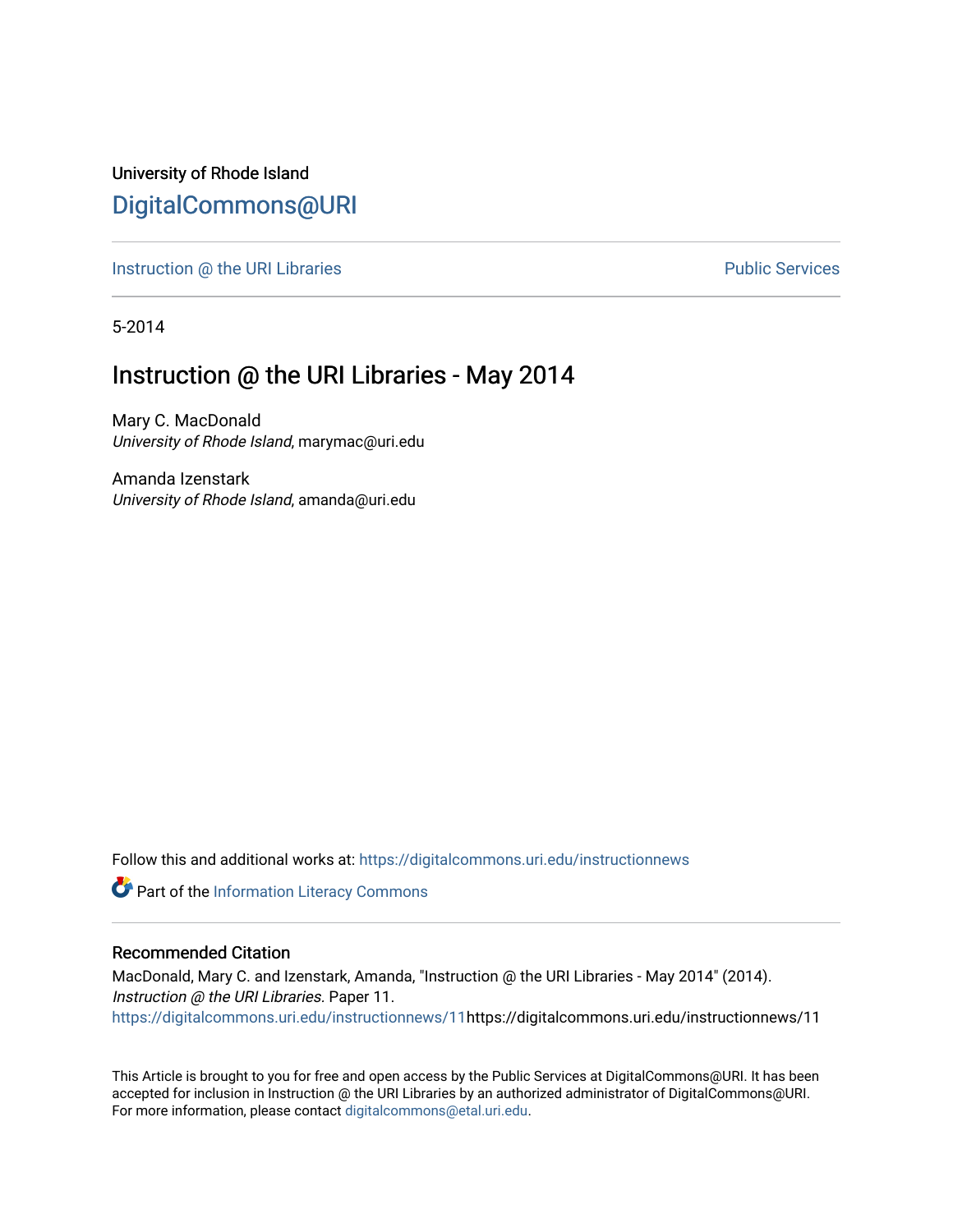University of Rhode Island [DigitalCommons@URI](https://digitalcommons.uri.edu/) 

[Instruction @ the URI Libraries](https://digitalcommons.uri.edu/instructionnews) **Public Services** Public Services

5-2014

#### Instruction @ the URI Libraries - May 2014

Mary C. MacDonald University of Rhode Island, marymac@uri.edu

Amanda Izenstark University of Rhode Island, amanda@uri.edu

Follow this and additional works at: [https://digitalcommons.uri.edu/instructionnews](https://digitalcommons.uri.edu/instructionnews?utm_source=digitalcommons.uri.edu%2Finstructionnews%2F11&utm_medium=PDF&utm_campaign=PDFCoverPages)

Part of the [Information Literacy Commons](http://network.bepress.com/hgg/discipline/1243?utm_source=digitalcommons.uri.edu%2Finstructionnews%2F11&utm_medium=PDF&utm_campaign=PDFCoverPages)

#### Recommended Citation

MacDonald, Mary C. and Izenstark, Amanda, "Instruction @ the URI Libraries - May 2014" (2014). Instruction @ the URI Libraries. Paper 11. [https://digitalcommons.uri.edu/instructionnews/11h](https://digitalcommons.uri.edu/instructionnews/11?utm_source=digitalcommons.uri.edu%2Finstructionnews%2F11&utm_medium=PDF&utm_campaign=PDFCoverPages)ttps://digitalcommons.uri.edu/instructionnews/11

This Article is brought to you for free and open access by the Public Services at DigitalCommons@URI. It has been accepted for inclusion in Instruction @ the URI Libraries by an authorized administrator of DigitalCommons@URI. For more information, please contact [digitalcommons@etal.uri.edu](mailto:digitalcommons@etal.uri.edu).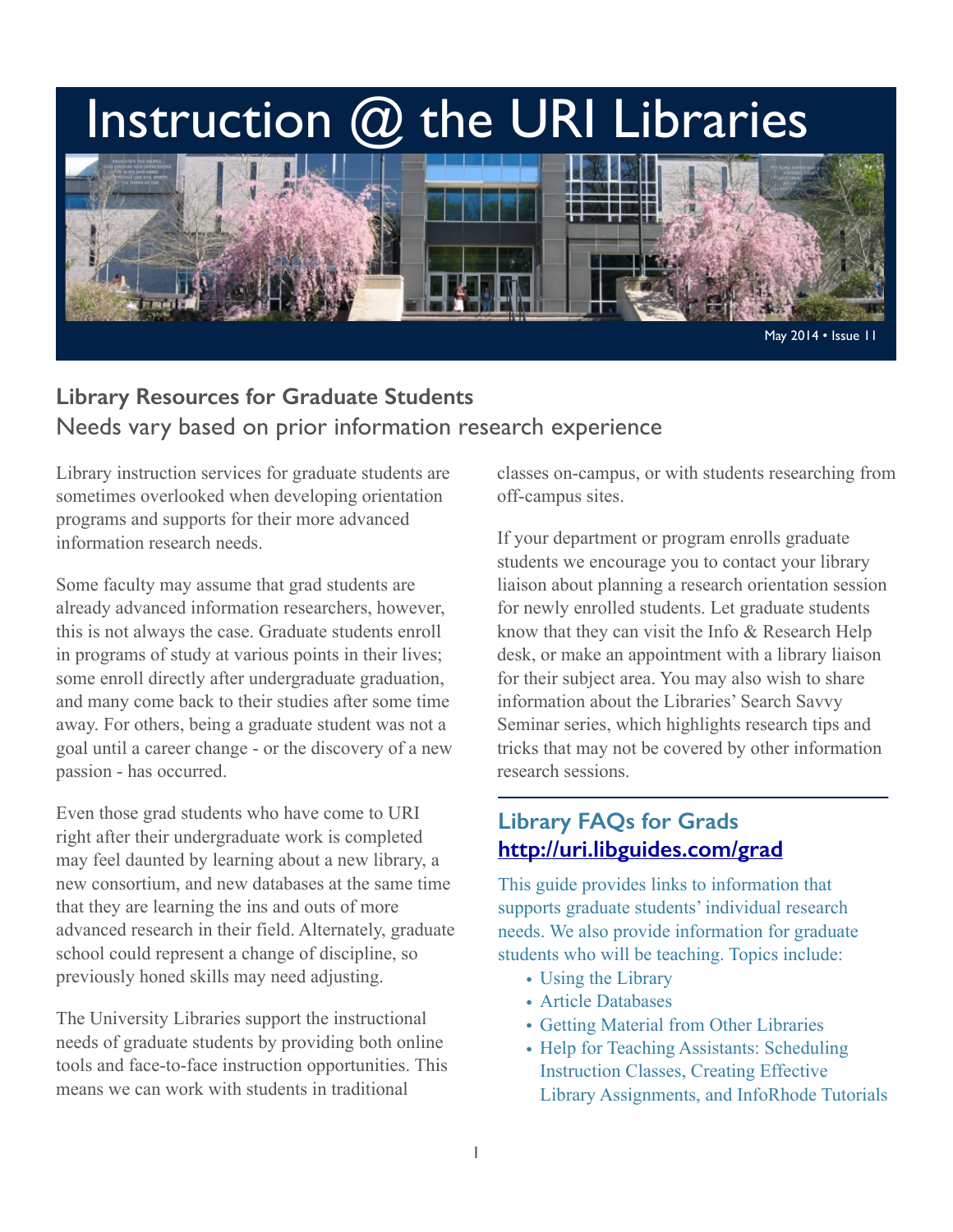# Instruction @ the URI Libraries



#### **Library Resources for Graduate Students**  Needs vary based on prior information research experience

Library instruction services for graduate students are sometimes overlooked when developing orientation programs and supports for their more advanced information research needs.

Some faculty may assume that grad students are already advanced information researchers, however, this is not always the case. Graduate students enroll in programs of study at various points in their lives; some enroll directly after undergraduate graduation, and many come back to their studies after some time away. For others, being a graduate student was not a goal until a career change - or the discovery of a new passion - has occurred.

Even those grad students who have come to URI right after their undergraduate work is completed may feel daunted by learning about a new library, a new consortium, and new databases at the same time that they are learning the ins and outs of more advanced research in their field. Alternately, graduate school could represent a change of discipline, so previously honed skills may need adjusting.

The University Libraries support the instructional needs of graduate students by providing both online tools and face-to-face instruction opportunities. This means we can work with students in traditional

classes on-campus, or with students researching from off-campus sites.

If your department or program enrolls graduate students we encourage you to contact your library liaison about planning a research orientation session for newly enrolled students. Let graduate students know that they can visit the Info & Research Help desk, or make an appointment with a library liaison for their subject area. You may also wish to share information about the Libraries' Search Savvy Seminar series, which highlights research tips and tricks that may not be covered by other information research sessions.

#### **Library FAQs for Grads <http://uri.libguides.com/grad>**

This guide provides links to information that supports graduate students' individual research needs. We also provide information for graduate students who will be teaching. Topics include:

- Using the Library
- Article Databases
- Getting Material from Other Libraries
- Help for Teaching Assistants: Scheduling Instruction Classes, Creating Effective Library Assignments, and InfoRhode Tutorials